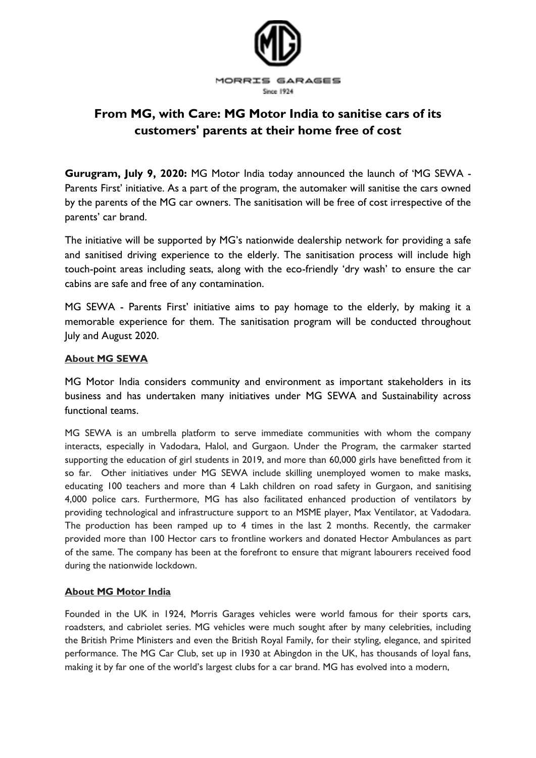

## **From MG, with Care: MG Motor India to sanitise cars of its customers' parents at their home free of cost**

**Gurugram, July 9, 2020:** MG Motor India today announced the launch of 'MG SEWA - Parents First' initiative. As a part of the program, the automaker will sanitise the cars owned by the parents of the MG car owners. The sanitisation will be free of cost irrespective of the parents' car brand.

The initiative will be supported by MG's nationwide dealership network for providing a safe and sanitised driving experience to the elderly. The sanitisation process will include high touch-point areas including seats, along with the eco-friendly 'dry wash' to ensure the car cabins are safe and free of any contamination.

MG SEWA - Parents First' initiative aims to pay homage to the elderly, by making it a memorable experience for them. The sanitisation program will be conducted throughout July and August 2020.

## **About MG SEWA**

MG Motor India considers community and environment as important stakeholders in its business and has undertaken many initiatives under MG SEWA and Sustainability across functional teams.

MG SEWA is an umbrella platform to serve immediate communities with whom the company interacts, especially in Vadodara, Halol, and Gurgaon. Under the Program, the carmaker started supporting the education of girl students in 2019, and more than 60,000 girls have benefitted from it so far. Other initiatives under MG SEWA include skilling unemployed women to make masks, educating 100 teachers and more than 4 Lakh children on road safety in Gurgaon, and sanitising 4,000 police cars. Furthermore, MG has also facilitated enhanced production of ventilators by providing technological and infrastructure support to an MSME player, Max Ventilator, at Vadodara. The production has been ramped up to 4 times in the last 2 months. Recently, the carmaker provided more than 100 Hector cars to frontline workers and donated Hector Ambulances as part of the same. The company has been at the forefront to ensure that migrant labourers received food during the nationwide lockdown.

## **About MG Motor India**

Founded in the UK in 1924, Morris Garages vehicles were world famous for their sports cars, roadsters, and cabriolet series. MG vehicles were much sought after by many celebrities, including the British Prime Ministers and even the British Royal Family, for their styling, elegance, and spirited performance. The MG Car Club, set up in 1930 at Abingdon in the UK, has thousands of loyal fans, making it by far one of the world's largest clubs for a car brand. MG has evolved into a modern,